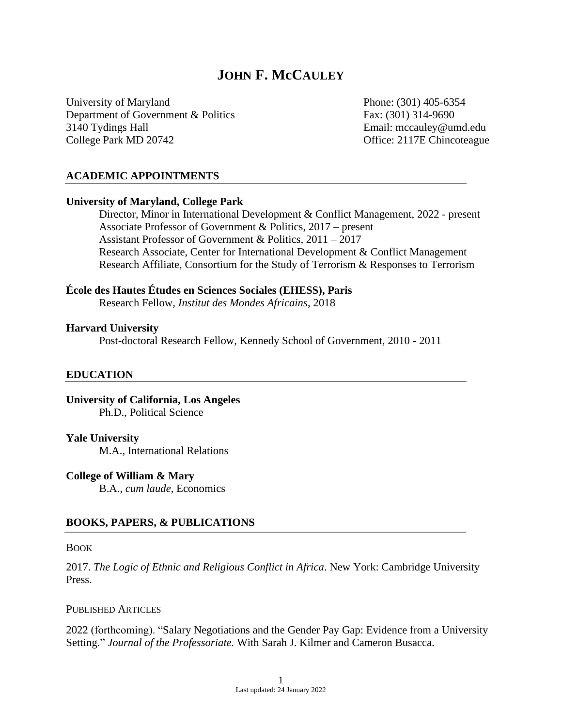# **JOHN F. McCAULEY**

University of Maryland Phone: (301) 405-6354 Department of Government & Politics Fax: (301) 314-9690 3140 Tydings Hall Email: mccauley@umd.edu College Park MD 20742 College Park MD 20742

### **ACADEMIC APPOINTMENTS**

### **University of Maryland, College Park**

Director, Minor in International Development & Conflict Management, 2022 - present Associate Professor of Government & Politics, 2017 – present Assistant Professor of Government & Politics, 2011 – 2017 Research Associate, Center for International Development & Conflict Management Research Affiliate, Consortium for the Study of Terrorism & Responses to Terrorism

# **École des Hautes Études en Sciences Sociales (EHESS), Paris**

Research Fellow, *Institut des Mondes Africains*, 2018

#### **Harvard University**

Post-doctoral Research Fellow, Kennedy School of Government, 2010 - 2011

### **EDUCATION**

**University of California, Los Angeles** Ph.D., Political Science

### **Yale University**

M.A., International Relations

### **College of William & Mary**

B.A., *cum laude,* Economics

### **BOOKS, PAPERS, & PUBLICATIONS**

#### **BOOK**

2017. *The Logic of Ethnic and Religious Conflict in Africa*. New York: Cambridge University Press.

#### PUBLISHED ARTICLES

2022 (forthcoming). "Salary Negotiations and the Gender Pay Gap: Evidence from a University Setting." *Journal of the Professoriate.* With Sarah J. Kilmer and Cameron Busacca.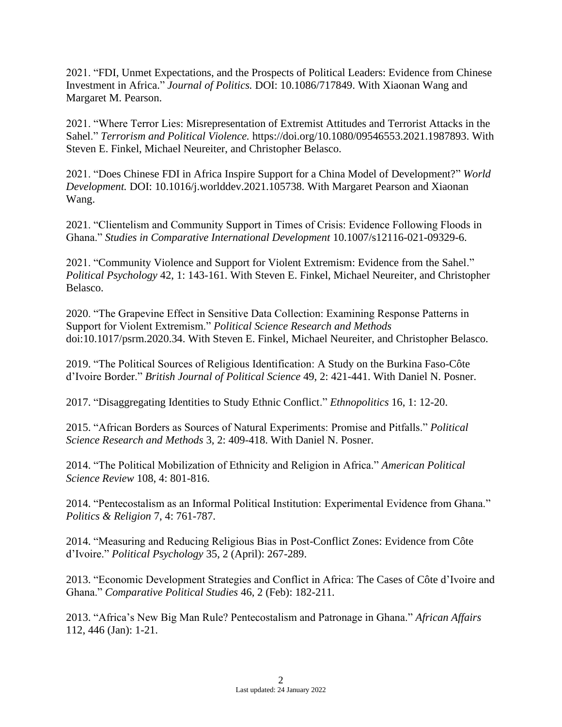2021. "FDI, Unmet Expectations, and the Prospects of Political Leaders: Evidence from Chinese Investment in Africa." *Journal of Politics.* DOI: 10.1086/717849. With Xiaonan Wang and Margaret M. Pearson.

2021. "Where Terror Lies: Misrepresentation of Extremist Attitudes and Terrorist Attacks in the Sahel." *Terrorism and Political Violence.* [https://doi.org/10.1080/09546553.2021.1987893.](https://doi.org/10.1080/09546553.2021.1987893) With Steven E. Finkel, Michael Neureiter, and Christopher Belasco.

2021. "Does Chinese FDI in Africa Inspire Support for a China Model of Development?" *World Development.* DOI: 10.1016/j.worlddev.2021.105738. With Margaret Pearson and Xiaonan Wang.

2021. "Clientelism and Community Support in Times of Crisis: Evidence Following Floods in Ghana." *Studies in Comparative International Development* 10.1007/s12116-021-09329-6.

2021. "Community Violence and Support for Violent Extremism: Evidence from the Sahel." *Political Psychology* 42, 1: 143-161. With Steven E. Finkel, Michael Neureiter, and Christopher Belasco.

2020. "The Grapevine Effect in Sensitive Data Collection: Examining Response Patterns in Support for Violent Extremism." *Political Science Research and Methods* doi:10.1017/psrm.2020.34. With Steven E. Finkel, Michael Neureiter, and Christopher Belasco.

2019. "The Political Sources of Religious Identification: A Study on the Burkina Faso-Côte d'Ivoire Border." *British Journal of Political Science* 49, 2: 421-441. With Daniel N. Posner.

2017. "Disaggregating Identities to Study Ethnic Conflict." *Ethnopolitics* 16, 1: 12-20.

2015. "African Borders as Sources of Natural Experiments: Promise and Pitfalls." *Political Science Research and Methods* 3, 2: 409-418. With Daniel N. Posner.

2014. "The Political Mobilization of Ethnicity and Religion in Africa." *American Political Science Review* 108, 4: 801-816.

2014. "Pentecostalism as an Informal Political Institution: Experimental Evidence from Ghana." *Politics & Religion* 7, 4: 761-787.

2014. "Measuring and Reducing Religious Bias in Post-Conflict Zones: Evidence from Côte d'Ivoire." *Political Psychology* 35, 2 (April): 267-289.

2013. "Economic Development Strategies and Conflict in Africa: The Cases of Côte d'Ivoire and Ghana." *Comparative Political Studies* 46, 2 (Feb): 182-211.

2013. "Africa's New Big Man Rule? Pentecostalism and Patronage in Ghana." *African Affairs*  112, 446 (Jan): 1-21.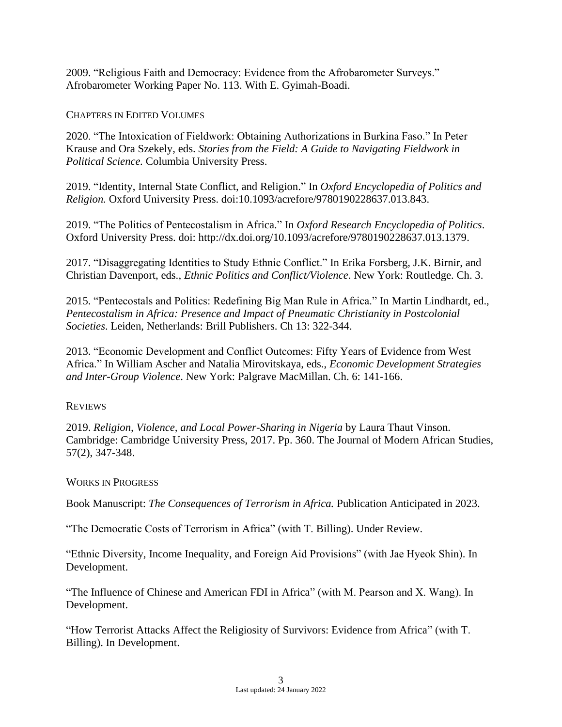2009. "Religious Faith and Democracy: Evidence from the Afrobarometer Surveys." Afrobarometer Working Paper No. 113. With E. Gyimah-Boadi.

CHAPTERS IN EDITED VOLUMES

2020. "The Intoxication of Fieldwork: Obtaining Authorizations in Burkina Faso." In Peter Krause and Ora Szekely, eds. *Stories from the Field: A Guide to Navigating Fieldwork in Political Science.* Columbia University Press.

2019. "Identity, Internal State Conflict, and Religion." In *Oxford Encyclopedia of Politics and Religion.* Oxford University Press. doi:10.1093/acrefore/9780190228637.013.843.

2019. "The Politics of Pentecostalism in Africa." In *Oxford Research Encyclopedia of Politics*. Oxford University Press. doi: http://dx.doi.org/10.1093/acrefore/9780190228637.013.1379.

2017. "Disaggregating Identities to Study Ethnic Conflict." In Erika Forsberg, J.K. Birnir, and Christian Davenport, eds., *Ethnic Politics and Conflict/Violence*. New York: Routledge. Ch. 3.

2015. "Pentecostals and Politics: Redefining Big Man Rule in Africa." In Martin Lindhardt, ed., *Pentecostalism in Africa: Presence and Impact of Pneumatic Christianity in Postcolonial Societies*. Leiden, Netherlands: Brill Publishers. Ch 13: 322-344.

2013. "Economic Development and Conflict Outcomes: Fifty Years of Evidence from West Africa." In William Ascher and Natalia Mirovitskaya, eds., *Economic Development Strategies and Inter-Group Violence*. New York: Palgrave MacMillan. Ch. 6: 141-166.

### **REVIEWS**

2019. *Religion, Violence, and Local Power-Sharing in Nigeria* by Laura Thaut Vinson. Cambridge: Cambridge University Press, 2017. Pp. 360. The Journal of Modern African Studies, 57(2), 347-348.

### WORKS IN PROGRESS

Book Manuscript: *The Consequences of Terrorism in Africa.* Publication Anticipated in 2023.

"The Democratic Costs of Terrorism in Africa" (with T. Billing). Under Review.

"Ethnic Diversity, Income Inequality, and Foreign Aid Provisions" (with Jae Hyeok Shin). In Development.

"The Influence of Chinese and American FDI in Africa" (with M. Pearson and X. Wang). In Development.

"How Terrorist Attacks Affect the Religiosity of Survivors: Evidence from Africa" (with T. Billing). In Development.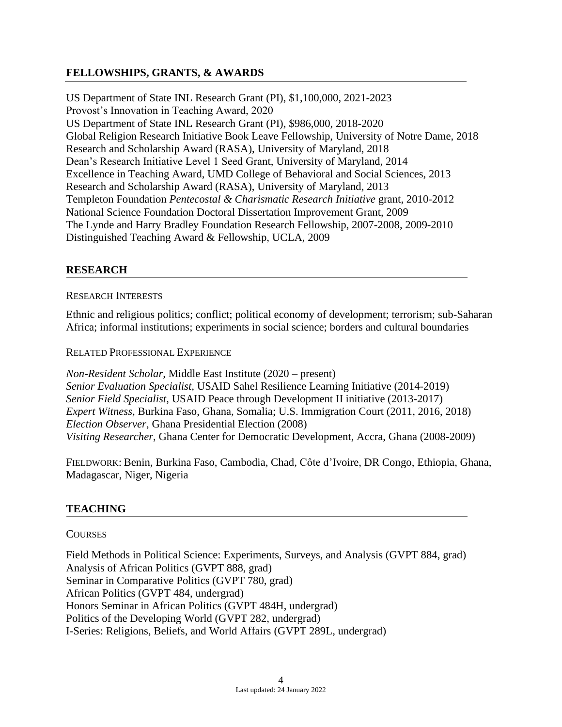# **FELLOWSHIPS, GRANTS, & AWARDS**

US Department of State INL Research Grant (PI), \$1,100,000, 2021-2023 Provost's Innovation in Teaching Award, 2020 US Department of State INL Research Grant (PI), \$986,000, 2018-2020 Global Religion Research Initiative Book Leave Fellowship, University of Notre Dame, 2018 Research and Scholarship Award (RASA), University of Maryland, 2018 Dean's Research Initiative Level 1 Seed Grant, University of Maryland, 2014 Excellence in Teaching Award, UMD College of Behavioral and Social Sciences, 2013 Research and Scholarship Award (RASA), University of Maryland, 2013 Templeton Foundation *Pentecostal & Charismatic Research Initiative* grant, 2010-2012 National Science Foundation Doctoral Dissertation Improvement Grant, 2009 The Lynde and Harry Bradley Foundation Research Fellowship, 2007-2008, 2009-2010 Distinguished Teaching Award & Fellowship, UCLA, 2009

# **RESEARCH**

### RESEARCH INTERESTS

Ethnic and religious politics; conflict; political economy of development; terrorism; sub-Saharan Africa; informal institutions; experiments in social science; borders and cultural boundaries

RELATED PROFESSIONAL EXPERIENCE

*Non-Resident Scholar,* Middle East Institute (2020 – present) *Senior Evaluation Specialist,* USAID Sahel Resilience Learning Initiative (2014-2019) *Senior Field Specialist*, USAID Peace through Development II initiative (2013-2017) *Expert Witness*, Burkina Faso, Ghana, Somalia; U.S. Immigration Court (2011, 2016, 2018) *Election Observer*, Ghana Presidential Election (2008) *Visiting Researcher*, Ghana Center for Democratic Development, Accra, Ghana (2008-2009)

FIELDWORK: Benin, Burkina Faso, Cambodia, Chad, Côte d'Ivoire, DR Congo, Ethiopia, Ghana, Madagascar, Niger, Nigeria

# **TEACHING**

### **COURSES**

Field Methods in Political Science: Experiments, Surveys, and Analysis (GVPT 884, grad) Analysis of African Politics (GVPT 888, grad) Seminar in Comparative Politics (GVPT 780, grad) African Politics (GVPT 484, undergrad) Honors Seminar in African Politics (GVPT 484H, undergrad) Politics of the Developing World (GVPT 282, undergrad) I-Series: Religions, Beliefs, and World Affairs (GVPT 289L, undergrad)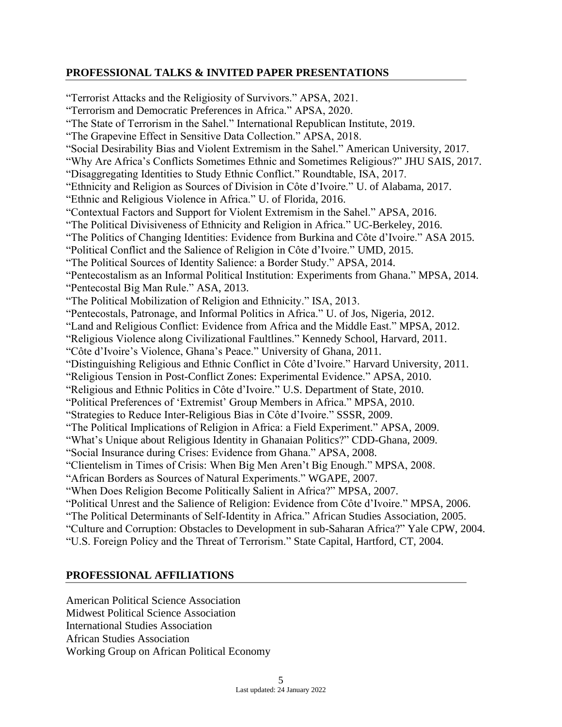# **PROFESSIONAL TALKS & INVITED PAPER PRESENTATIONS**

"Terrorist Attacks and the Religiosity of Survivors." APSA, 2021. "Terrorism and Democratic Preferences in Africa." APSA, 2020. "The State of Terrorism in the Sahel." International Republican Institute, 2019. "The Grapevine Effect in Sensitive Data Collection." APSA, 2018. "Social Desirability Bias and Violent Extremism in the Sahel." American University, 2017. "Why Are Africa's Conflicts Sometimes Ethnic and Sometimes Religious?" JHU SAIS, 2017. "Disaggregating Identities to Study Ethnic Conflict." Roundtable, ISA, 2017. "Ethnicity and Religion as Sources of Division in Côte d'Ivoire." U. of Alabama, 2017. "Ethnic and Religious Violence in Africa." U. of Florida, 2016. "Contextual Factors and Support for Violent Extremism in the Sahel." APSA, 2016. "The Political Divisiveness of Ethnicity and Religion in Africa." UC-Berkeley, 2016. "The Politics of Changing Identities: Evidence from Burkina and Côte d'Ivoire." ASA 2015. "Political Conflict and the Salience of Religion in Côte d'Ivoire." UMD, 2015. "The Political Sources of Identity Salience: a Border Study." APSA, 2014. "Pentecostalism as an Informal Political Institution: Experiments from Ghana." MPSA, 2014. "Pentecostal Big Man Rule." ASA, 2013. "The Political Mobilization of Religion and Ethnicity." ISA, 2013. "Pentecostals, Patronage, and Informal Politics in Africa." U. of Jos, Nigeria, 2012. "Land and Religious Conflict: Evidence from Africa and the Middle East." MPSA, 2012. "Religious Violence along Civilizational Faultlines." Kennedy School, Harvard, 2011. "Côte d'Ivoire's Violence, Ghana's Peace." University of Ghana, 2011. "Distinguishing Religious and Ethnic Conflict in Côte d'Ivoire." Harvard University, 2011. "Religious Tension in Post-Conflict Zones: Experimental Evidence." APSA, 2010. "Religious and Ethnic Politics in Côte d'Ivoire." U.S. Department of State, 2010. "Political Preferences of 'Extremist' Group Members in Africa." MPSA, 2010. "Strategies to Reduce Inter-Religious Bias in Côte d'Ivoire." SSSR, 2009. "The Political Implications of Religion in Africa: a Field Experiment." APSA, 2009. "What's Unique about Religious Identity in Ghanaian Politics?" CDD-Ghana, 2009. "Social Insurance during Crises: Evidence from Ghana." APSA, 2008. "Clientelism in Times of Crisis: When Big Men Aren't Big Enough." MPSA, 2008. "African Borders as Sources of Natural Experiments." WGAPE, 2007. "When Does Religion Become Politically Salient in Africa?" MPSA, 2007. "Political Unrest and the Salience of Religion: Evidence from Côte d'Ivoire." MPSA, 2006. "The Political Determinants of Self-Identity in Africa." African Studies Association, 2005. "Culture and Corruption: Obstacles to Development in sub-Saharan Africa?" Yale CPW, 2004. "U.S. Foreign Policy and the Threat of Terrorism." State Capital, Hartford, CT, 2004.

# **PROFESSIONAL AFFILIATIONS**

American Political Science Association Midwest Political Science Association International Studies Association African Studies Association Working Group on African Political Economy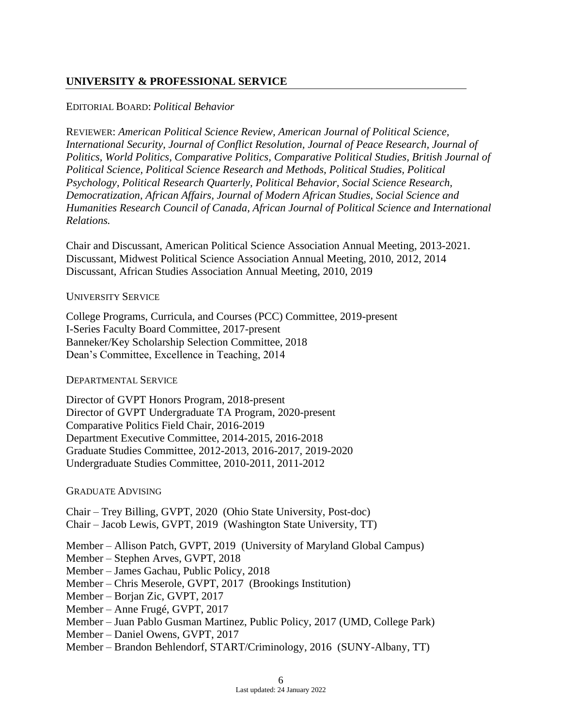# **UNIVERSITY & PROFESSIONAL SERVICE**

### EDITORIAL BOARD: *Political Behavior*

REVIEWER: *American Political Science Review, American Journal of Political Science, International Security, Journal of Conflict Resolution, Journal of Peace Research, Journal of Politics, World Politics, Comparative Politics, Comparative Political Studies, British Journal of Political Science, Political Science Research and Methods, Political Studies, Political Psychology, Political Research Quarterly, Political Behavior, Social Science Research, Democratization, African Affairs, Journal of Modern African Studies, Social Science and Humanities Research Council of Canada, African Journal of Political Science and International Relations.*

Chair and Discussant, American Political Science Association Annual Meeting, 2013-2021. Discussant, Midwest Political Science Association Annual Meeting, 2010, 2012, 2014 Discussant, African Studies Association Annual Meeting, 2010, 2019

### UNIVERSITY SERVICE

College Programs, Curricula, and Courses (PCC) Committee, 2019-present I-Series Faculty Board Committee, 2017-present Banneker/Key Scholarship Selection Committee, 2018 Dean's Committee, Excellence in Teaching, 2014

### DEPARTMENTAL SERVICE

Director of GVPT Honors Program, 2018-present Director of GVPT Undergraduate TA Program, 2020-present Comparative Politics Field Chair, 2016-2019 Department Executive Committee, 2014-2015, 2016-2018 Graduate Studies Committee, 2012-2013, 2016-2017, 2019-2020 Undergraduate Studies Committee, 2010-2011, 2011-2012

### GRADUATE ADVISING

Chair – Trey Billing, GVPT, 2020 (Ohio State University, Post-doc) Chair – Jacob Lewis, GVPT, 2019 (Washington State University, TT)

Member – Allison Patch, GVPT, 2019 (University of Maryland Global Campus)

- Member Stephen Arves, GVPT, 2018
- Member James Gachau, Public Policy, 2018
- Member Chris Meserole, GVPT, 2017 (Brookings Institution)
- Member Borjan Zic, GVPT, 2017
- Member Anne Frugé, GVPT, 2017
- Member Juan Pablo Gusman Martinez, Public Policy, 2017 (UMD, College Park)
- Member Daniel Owens, GVPT, 2017
- Member Brandon Behlendorf, START/Criminology, 2016 (SUNY-Albany, TT)